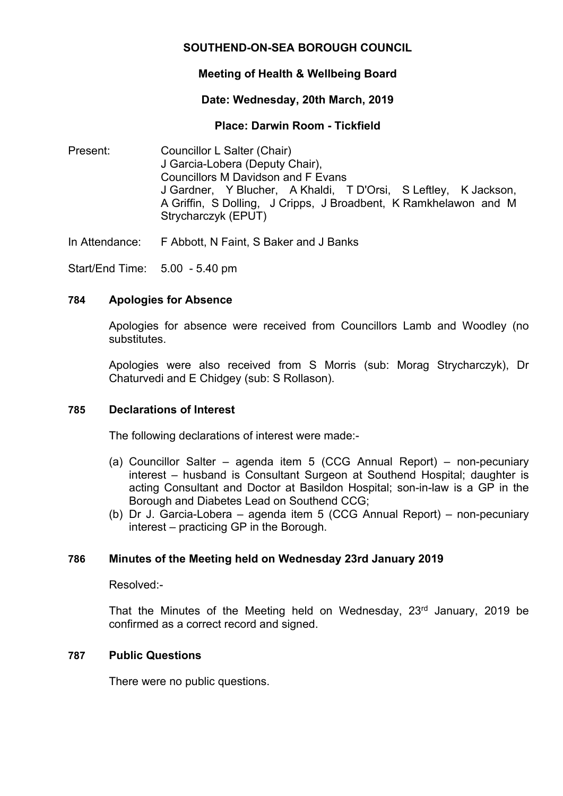# **SOUTHEND-ON-SEA BOROUGH COUNCIL**

## **Meeting of Health & Wellbeing Board**

### **Date: Wednesday, 20th March, 2019**

### **Place: Darwin Room - Tickfield**

Present: Councillor L Salter (Chair) J Garcia-Lobera (Deputy Chair), Councillors M Davidson and F Evans J Gardner, Y Blucher, A Khaldi, T D'Orsi, S Leftley, K Jackson, A Griffin, S Dolling, J Cripps, J Broadbent, K Ramkhelawon and M Strycharczyk (EPUT)

In Attendance: F Abbott, N Faint, S Baker and J Banks

Start/End Time: 5.00 - 5.40 pm

### **784 Apologies for Absence**

Apologies for absence were received from Councillors Lamb and Woodley (no substitutes.

Apologies were also received from S Morris (sub: Morag Strycharczyk), Dr Chaturvedi and E Chidgey (sub: S Rollason).

### **785 Declarations of Interest**

The following declarations of interest were made:-

- (a) Councillor Salter agenda item 5 (CCG Annual Report) non-pecuniary interest – husband is Consultant Surgeon at Southend Hospital; daughter is acting Consultant and Doctor at Basildon Hospital; son-in-law is a GP in the Borough and Diabetes Lead on Southend CCG;
- (b) Dr J. Garcia-Lobera agenda item 5 (CCG Annual Report) non-pecuniary interest – practicing GP in the Borough.

### **786 Minutes of the Meeting held on Wednesday 23rd January 2019**

Resolved:-

That the Minutes of the Meeting held on Wednesday, 23<sup>rd</sup> January, 2019 be confirmed as a correct record and signed.

### **787 Public Questions**

There were no public questions.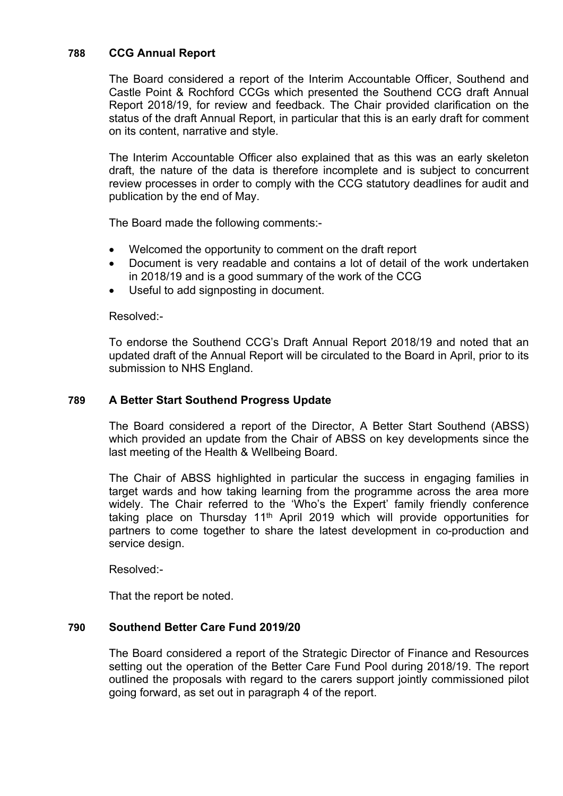## **788 CCG Annual Report**

The Board considered a report of the Interim Accountable Officer, Southend and Castle Point & Rochford CCGs which presented the Southend CCG draft Annual Report 2018/19, for review and feedback. The Chair provided clarification on the status of the draft Annual Report, in particular that this is an early draft for comment on its content, narrative and style.

The Interim Accountable Officer also explained that as this was an early skeleton draft, the nature of the data is therefore incomplete and is subject to concurrent review processes in order to comply with the CCG statutory deadlines for audit and publication by the end of May.

The Board made the following comments:-

- Welcomed the opportunity to comment on the draft report
- Document is very readable and contains a lot of detail of the work undertaken in 2018/19 and is a good summary of the work of the CCG
- Useful to add signposting in document.

#### Resolved:-

To endorse the Southend CCG's Draft Annual Report 2018/19 and noted that an updated draft of the Annual Report will be circulated to the Board in April, prior to its submission to NHS England.

### **789 A Better Start Southend Progress Update**

The Board considered a report of the Director, A Better Start Southend (ABSS) which provided an update from the Chair of ABSS on key developments since the last meeting of the Health & Wellbeing Board.

The Chair of ABSS highlighted in particular the success in engaging families in target wards and how taking learning from the programme across the area more widely. The Chair referred to the 'Who's the Expert' family friendly conference taking place on Thursday 11<sup>th</sup> April 2019 which will provide opportunities for partners to come together to share the latest development in co-production and service design.

Resolved:-

That the report be noted.

### **790 Southend Better Care Fund 2019/20**

The Board considered a report of the Strategic Director of Finance and Resources setting out the operation of the Better Care Fund Pool during 2018/19. The report outlined the proposals with regard to the carers support jointly commissioned pilot going forward, as set out in paragraph 4 of the report.